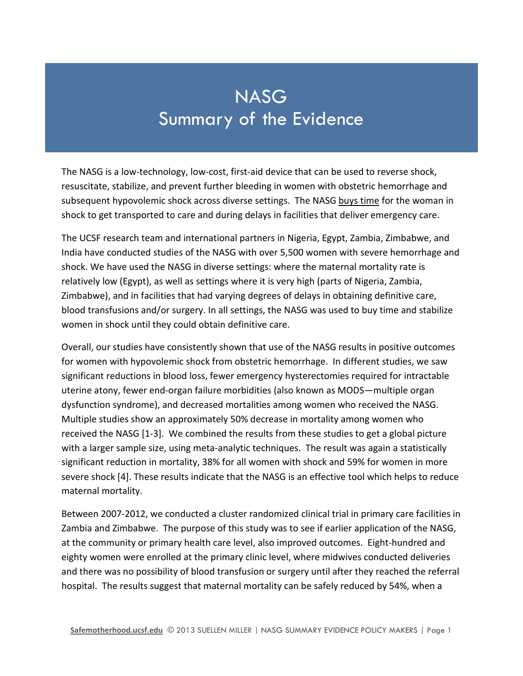## **NASG** Summary of the Evidence

The NASG is a low-technology, low-cost, first-aid device that can be used to reverse shock, resuscitate, stabilize, and prevent further bleeding in women with obstetric hemorrhage and subsequent hypovolemic shock across diverse settings. The NASG buys time for the woman in shock to get transported to care and during delays in facilities that deliver emergency care.

The UCSF research team and international partners in Nigeria, Egypt, Zambia, Zimbabwe, and India have conducted studies of the NASG with over 5,500 women with severe hemorrhage and shock. We have used the NASG in diverse settings: where the maternal mortality rate is relatively low (Egypt), as well as settings where it is very high (parts of Nigeria, Zambia, Zimbabwe), and in facilities that had varying degrees of delays in obtaining definitive care, blood transfusions and/or surgery. In all settings, the NASG was used to buy time and stabilize women in shock until they could obtain definitive care.

Overall, our studies have consistently shown that use of the NASG results in positive outcomes for women with hypovolemic shock from obstetric hemorrhage. In different studies, we saw significant reductions in blood loss, fewer emergency hysterectomies required for intractable uterine atony, fewer end-organ failure morbidities (also known as MODS—multiple organ dysfunction syndrome), and decreased mortalities among women who received the NASG. Multiple studies show an approximately 50% decrease in mortality among women who received the NASG [\[1-3\]](#page-1-0). We combined the results from these studies to get a global picture with a larger sample size, using meta-analytic techniques. The result was again a statistically significant reduction in mortality, 38% for all women with shock and 59% for women in more severe shock [\[4\]](#page-1-1). These results indicate that the NASG is an effective tool which helps to reduce maternal mortality.

Between 2007-2012, we conducted a cluster randomized clinical trial in primary care facilities in Zambia and Zimbabwe. The purpose of this study was to see if earlier application of the NASG, at the community or primary health care level, also improved outcomes. Eight-hundred and eighty women were enrolled at the primary clinic level, where midwives conducted deliveries and there was no possibility of blood transfusion or surgery until after they reached the referral hospital. The results suggest that maternal mortality can be safely reduced by 54%, when a